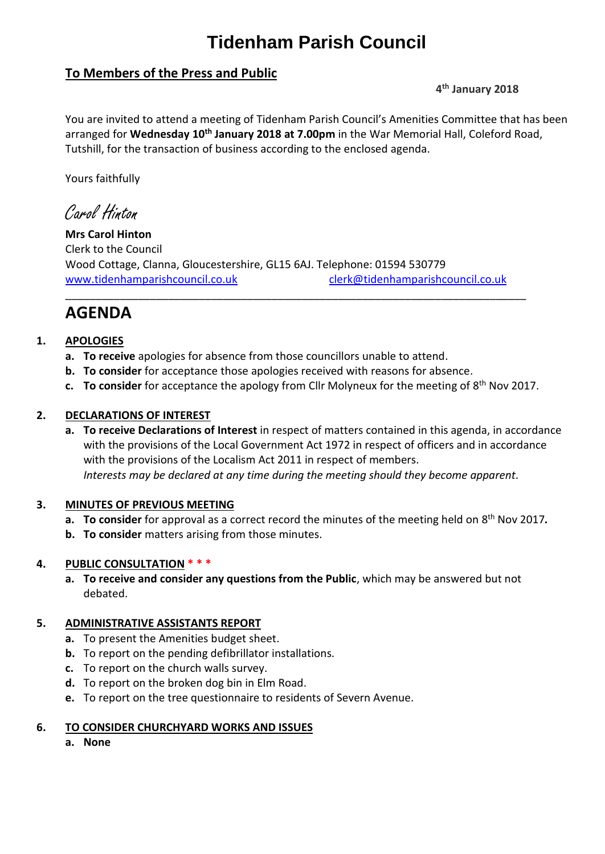# **Tidenham Parish Council**

# **To Members of the Press and Public**

# **4 th January 2018**

You are invited to attend a meeting of Tidenham Parish Council's Amenities Committee that has been arranged for **Wednesday 10th January 2018 at 7.00pm** in the War Memorial Hall, Coleford Road, Tutshill, for the transaction of business according to the enclosed agenda.

Yours faithfully

Carol Hinton

**Mrs Carol Hinton** Clerk to the Council Wood Cottage, Clanna, Gloucestershire, GL15 6AJ. Telephone: 01594 530779 [www.tidenhamparishcouncil.co.uk](http://www.tidenhamparishcouncil.co.uk/) [clerk@tidenhamparishcouncil.co.uk](mailto:clerk@tidenhamparishcouncil.co.uk)

\_\_\_\_\_\_\_\_\_\_\_\_\_\_\_\_\_\_\_\_\_\_\_\_\_\_\_\_\_\_\_\_\_\_\_\_\_\_\_\_\_\_\_\_\_\_\_\_\_\_\_\_\_\_\_\_\_\_\_\_\_\_\_\_\_\_\_\_\_\_\_\_\_\_\_\_

# **AGENDA**

# **1. APOLOGIES**

- **a. To receive** apologies for absence from those councillors unable to attend.
- **b. To consider** for acceptance those apologies received with reasons for absence.
- **c. To consider** for acceptance the apology from Cllr Molyneux for the meeting of 8<sup>th</sup> Nov 2017.

## **2. DECLARATIONS OF INTEREST**

**a. To receive Declarations of Interest** in respect of matters contained in this agenda, in accordance with the provisions of the Local Government Act 1972 in respect of officers and in accordance with the provisions of the Localism Act 2011 in respect of members. *Interests may be declared at any time during the meeting should they become apparent.*

### **3. MINUTES OF PREVIOUS MEETING**

- a. To consider for approval as a correct record the minutes of the meeting held on 8<sup>th</sup> Nov 2017.
- **b. To consider** matters arising from those minutes.

# **4. PUBLIC CONSULTATION \* \* \***

**a. To receive and consider any questions from the Public**, which may be answered but not debated.

### **5. ADMINISTRATIVE ASSISTANTS REPORT**

- **a.** To present the Amenities budget sheet.
- **b.** To report on the pending defibrillator installations.
- **c.** To report on the church walls survey.
- **d.** To report on the broken dog bin in Elm Road.
- **e.** To report on the tree questionnaire to residents of Severn Avenue.

### **6. TO CONSIDER CHURCHYARD WORKS AND ISSUES**

**a. None**